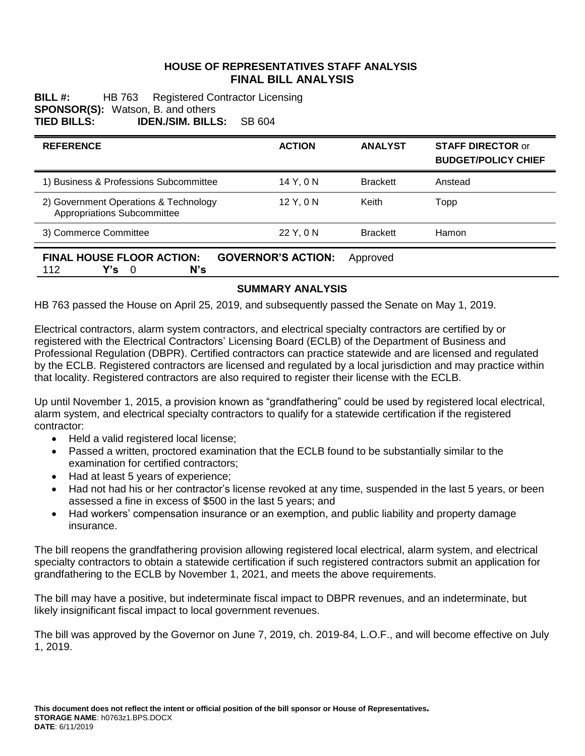#### **HOUSE OF REPRESENTATIVES STAFF ANALYSIS FINAL BILL ANALYSIS**

**BILL #:** HB 763 Registered Contractor Licensing **SPONSOR(S):** Watson, B. and others **TIED BILLS: IDEN./SIM. BILLS:** SB 604

| <b>REFERENCE</b>                                                                                      | <b>ACTION</b> | <b>ANALYST</b>  | <b>STAFF DIRECTOR or</b><br><b>BUDGET/POLICY CHIEF</b> |
|-------------------------------------------------------------------------------------------------------|---------------|-----------------|--------------------------------------------------------|
| 1) Business & Professions Subcommittee                                                                | 14 Y.ON       | <b>Brackett</b> | Anstead                                                |
| 2) Government Operations & Technology<br>Appropriations Subcommittee                                  | 12 Y, 0 N     | Keith           | Topp                                                   |
| 3) Commerce Committee                                                                                 | 22 Y, 0 N     | <b>Brackett</b> | <b>Hamon</b>                                           |
| <b>FINAL HOUSE FLOOR ACTION:</b><br><b>GOVERNOR'S ACTION:</b><br>Approved<br>N's<br>112<br>- 0<br>Y's |               |                 |                                                        |

### **SUMMARY ANALYSIS**

HB 763 passed the House on April 25, 2019, and subsequently passed the Senate on May 1, 2019.

Electrical contractors, alarm system contractors, and electrical specialty contractors are certified by or registered with the Electrical Contractors' Licensing Board (ECLB) of the Department of Business and Professional Regulation (DBPR). Certified contractors can practice statewide and are licensed and regulated by the ECLB. Registered contractors are licensed and regulated by a local jurisdiction and may practice within that locality. Registered contractors are also required to register their license with the ECLB.

Up until November 1, 2015, a provision known as "grandfathering" could be used by registered local electrical, alarm system, and electrical specialty contractors to qualify for a statewide certification if the registered contractor:

- Held a valid registered local license;
- Passed a written, proctored examination that the ECLB found to be substantially similar to the examination for certified contractors;
- Had at least 5 years of experience;
- Had not had his or her contractor's license revoked at any time, suspended in the last 5 years, or been assessed a fine in excess of \$500 in the last 5 years; and
- Had workers' compensation insurance or an exemption, and public liability and property damage insurance.

The bill reopens the grandfathering provision allowing registered local electrical, alarm system, and electrical specialty contractors to obtain a statewide certification if such registered contractors submit an application for grandfathering to the ECLB by November 1, 2021, and meets the above requirements.

The bill may have a positive, but indeterminate fiscal impact to DBPR revenues, and an indeterminate, but likely insignificant fiscal impact to local government revenues.

The bill was approved by the Governor on June 7, 2019, ch. 2019-84, L.O.F., and will become effective on July 1, 2019.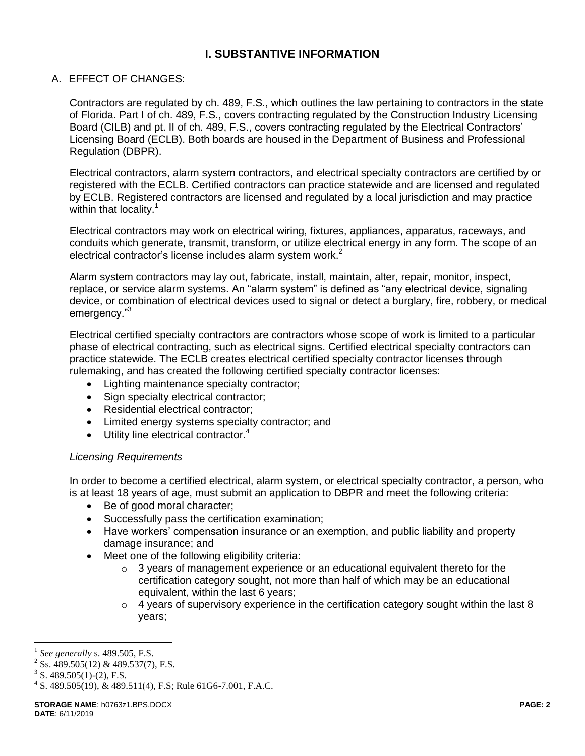# **I. SUBSTANTIVE INFORMATION**

### A. EFFECT OF CHANGES:

Contractors are regulated by ch. 489, F.S., which outlines the law pertaining to contractors in the state of Florida. Part I of ch. 489, F.S., covers contracting regulated by the Construction Industry Licensing Board (CILB) and pt. II of ch. 489, F.S., covers contracting regulated by the Electrical Contractors' Licensing Board (ECLB). Both boards are housed in the Department of Business and Professional Regulation (DBPR).

Electrical contractors, alarm system contractors, and electrical specialty contractors are certified by or registered with the ECLB. Certified contractors can practice statewide and are licensed and regulated by ECLB. Registered contractors are licensed and regulated by a local jurisdiction and may practice within that locality. $1$ 

Electrical contractors may work on electrical wiring, fixtures, appliances, apparatus, raceways, and conduits which generate, transmit, transform, or utilize electrical energy in any form. The scope of an electrical contractor's license includes alarm system work.<sup>2</sup>

Alarm system contractors may lay out, fabricate, install, maintain, alter, repair, monitor, inspect, replace, or service alarm systems. An "alarm system" is defined as "any electrical device, signaling device, or combination of electrical devices used to signal or detect a burglary, fire, robbery, or medical emergency."<sup>3</sup>

Electrical certified specialty contractors are contractors whose scope of work is limited to a particular phase of electrical contracting, such as electrical signs. Certified electrical specialty contractors can practice statewide. The ECLB creates electrical certified specialty contractor licenses through rulemaking, and has created the following certified specialty contractor licenses:

- Lighting maintenance specialty contractor;
- Sign specialty electrical contractor;
- Residential electrical contractor;
- Limited energy systems specialty contractor; and
- $\bullet$  Utility line electrical contractor.<sup>4</sup>

#### *Licensing Requirements*

In order to become a certified electrical, alarm system, or electrical specialty contractor, a person, who is at least 18 years of age, must submit an application to DBPR and meet the following criteria:

- Be of good moral character;
- Successfully pass the certification examination;
- Have workers' compensation insurance or an exemption, and public liability and property damage insurance; and
- Meet one of the following eligibility criteria:
	- $\circ$  3 years of management experience or an educational equivalent thereto for the certification category sought, not more than half of which may be an educational equivalent, within the last 6 years;
	- $\circ$  4 years of supervisory experience in the certification category sought within the last 8 years;

 $\overline{a}$ 

<sup>1</sup> *See generally* s. 489.505, F.S.

 $^{2}$  Ss. 489.505(12) & 489.537(7), F.S.

 $3$  S. 489.505(1)-(2), F.S.

 $4$  S. 489.505(19), & 489.511(4), F.S; Rule 61G6-7.001, F.A.C.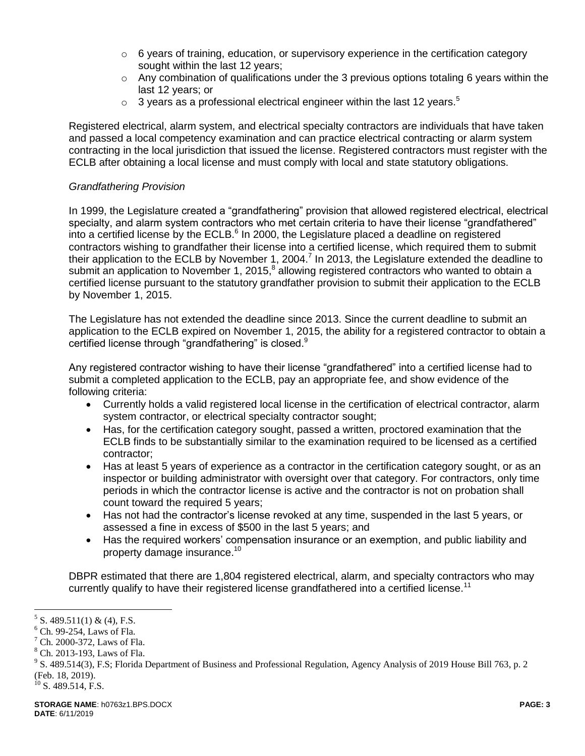- $\circ$  6 years of training, education, or supervisory experience in the certification category sought within the last 12 years;
- $\circ$  Any combination of qualifications under the 3 previous options totaling 6 years within the last 12 years; or
- $\circ$  3 years as a professional electrical engineer within the last 12 years.<sup>5</sup>

Registered electrical, alarm system, and electrical specialty contractors are individuals that have taken and passed a local competency examination and can practice electrical contracting or alarm system contracting in the local jurisdiction that issued the license. Registered contractors must register with the ECLB after obtaining a local license and must comply with local and state statutory obligations.

### *Grandfathering Provision*

In 1999, the Legislature created a "grandfathering" provision that allowed registered electrical, electrical specialty, and alarm system contractors who met certain criteria to have their license "grandfathered" into a certified license by the ECLB.<sup>6</sup> In 2000, the Legislature placed a deadline on registered contractors wishing to grandfather their license into a certified license, which required them to submit their application to the ECLB by November 1, 2004.<sup>7</sup> In 2013, the Legislature extended the deadline to submit an application to November 1, 2015,<sup>8</sup> allowing registered contractors who wanted to obtain a certified license pursuant to the statutory grandfather provision to submit their application to the ECLB by November 1, 2015.

The Legislature has not extended the deadline since 2013. Since the current deadline to submit an application to the ECLB expired on November 1, 2015, the ability for a registered contractor to obtain a certified license through "grandfathering" is closed.<sup>9</sup>

Any registered contractor wishing to have their license "grandfathered" into a certified license had to submit a completed application to the ECLB, pay an appropriate fee, and show evidence of the following criteria:

- Currently holds a valid registered local license in the certification of electrical contractor, alarm system contractor, or electrical specialty contractor sought;
- Has, for the certification category sought, passed a written, proctored examination that the ECLB finds to be substantially similar to the examination required to be licensed as a certified contractor;
- Has at least 5 years of experience as a contractor in the certification category sought, or as an inspector or building administrator with oversight over that category. For contractors, only time periods in which the contractor license is active and the contractor is not on probation shall count toward the required 5 years;
- Has not had the contractor's license revoked at any time, suspended in the last 5 years, or assessed a fine in excess of \$500 in the last 5 years; and
- Has the required workers' compensation insurance or an exemption, and public liability and property damage insurance. 10

DBPR estimated that there are 1,804 registered electrical, alarm, and specialty contractors who may currently qualify to have their registered license grandfathered into a certified license.<sup>11</sup>

 $\overline{a}$ 

 $5$  S. 489.511(1) & (4), F.S.

 $6$  Ch. 99-254, Laws of Fla.

 $<sup>7</sup>$  Ch. 2000-372, Laws of Fla.</sup>

<sup>8</sup> Ch. 2013-193, Laws of Fla.

 $9^9$  S. 489.514(3), F.S; Florida Department of Business and Professional Regulation, Agency Analysis of 2019 House Bill 763, p. 2 (Feb. 18, 2019).

 $10$  S. 489.514, F.S.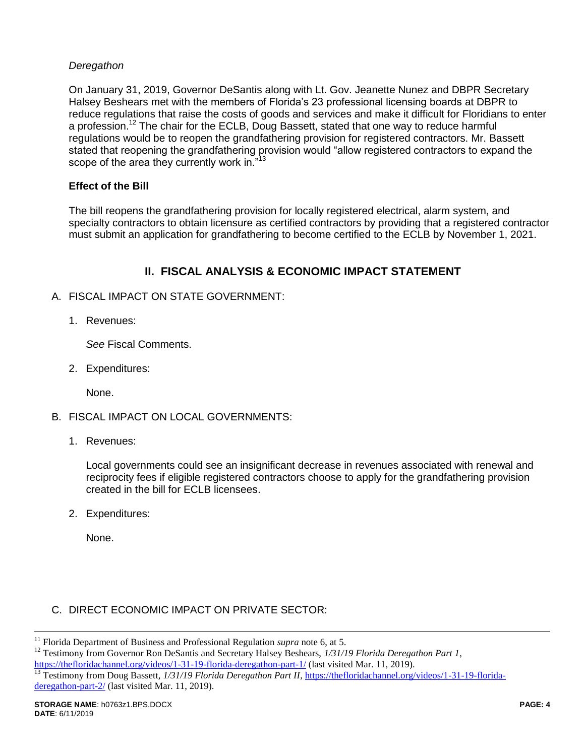### *Deregathon*

On January 31, 2019, Governor DeSantis along with Lt. Gov. Jeanette Nunez and DBPR Secretary Halsey Beshears met with the members of Florida's 23 professional licensing boards at DBPR to reduce regulations that raise the costs of goods and services and make it difficult for Floridians to enter a profession.<sup>12</sup> The chair for the ECLB, Doug Bassett, stated that one way to reduce harmful regulations would be to reopen the grandfathering provision for registered contractors. Mr. Bassett stated that reopening the grandfathering provision would "allow registered contractors to expand the scope of the area they currently work in."<sup>13</sup>

#### **Effect of the Bill**

The bill reopens the grandfathering provision for locally registered electrical, alarm system, and specialty contractors to obtain licensure as certified contractors by providing that a registered contractor must submit an application for grandfathering to become certified to the ECLB by November 1, 2021.

# **II. FISCAL ANALYSIS & ECONOMIC IMPACT STATEMENT**

- A. FISCAL IMPACT ON STATE GOVERNMENT:
	- 1. Revenues:

*See* Fiscal Comments.

2. Expenditures:

None.

- B. FISCAL IMPACT ON LOCAL GOVERNMENTS:
	- 1. Revenues:

Local governments could see an insignificant decrease in revenues associated with renewal and reciprocity fees if eligible registered contractors choose to apply for the grandfathering provision created in the bill for ECLB licensees.

2. Expenditures:

None.

 $\overline{a}$ 

### C. DIRECT ECONOMIC IMPACT ON PRIVATE SECTOR:

<sup>&</sup>lt;sup>11</sup> Florida Department of Business and Professional Regulation *supra* note 6, at 5.

<sup>&</sup>lt;sup>12</sup> Testimony from Governor Ron DeSantis and Secretary Halsey Beshears, 1/31/19 Florida Deregathon Part 1, <https://thefloridachannel.org/videos/1-31-19-florida-deregathon-part-1/> (last visited Mar. 11, 2019).<br><sup>13</sup> Testimony from Doug Bassett, 1/31/19 Elorida Deregathon Part II, https://thefloridachannel.org/

<sup>13</sup> Testimony from Doug Bassett, *1/31/19 Florida Deregathon Part II*, [https://thefloridachannel.org/videos/1-31-19-florida](https://thefloridachannel.org/videos/1-31-19-florida-deregathon-part-2/)[deregathon-part-2/](https://thefloridachannel.org/videos/1-31-19-florida-deregathon-part-2/) (last visited Mar. 11, 2019).